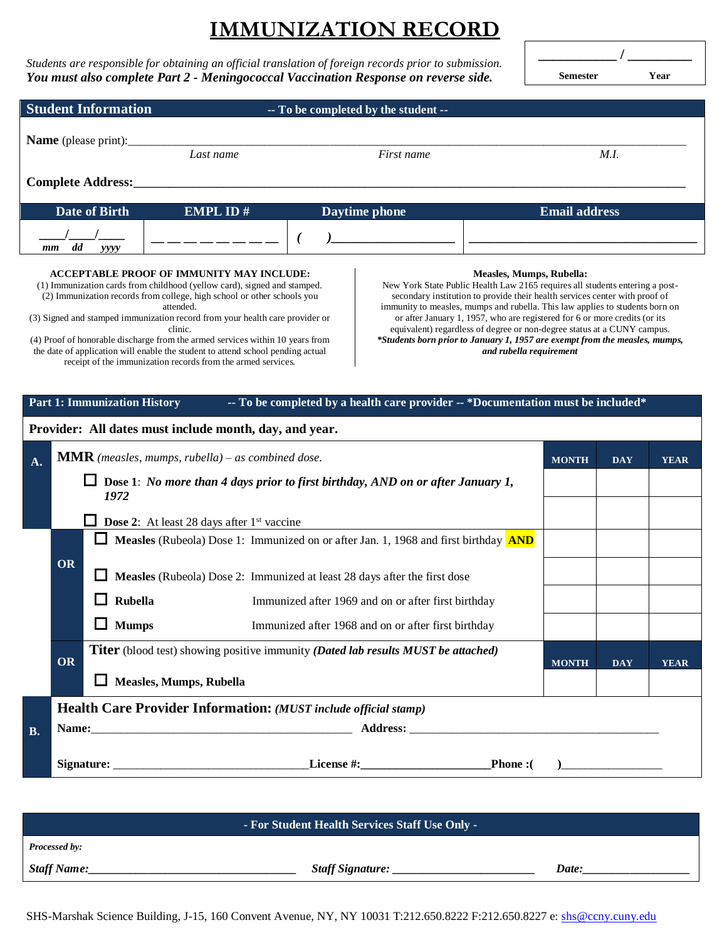## **IMMUNIZATION RECORD**

*Students are responsible for obtaining an official translation of foreign records prior to submission. You must also complete Part 2 - Meningococcal Vaccination Response on reverse side.*

**\_\_\_\_\_\_\_\_\_\_\_ / \_\_\_\_\_\_\_\_\_ Semester Year**

| <b>Student Information</b><br>-- To be completed by the student --                                                                                                                |                                                                                                                                                                                                                                                                                                                                                                                                                                                                                                                                                                                                                                                                                                                                                                                                                                                                                                                                                                                                                                                                                            |              |                                                                                                                                                                         |  |                                                     |                      |              |            |             |  |
|-----------------------------------------------------------------------------------------------------------------------------------------------------------------------------------|--------------------------------------------------------------------------------------------------------------------------------------------------------------------------------------------------------------------------------------------------------------------------------------------------------------------------------------------------------------------------------------------------------------------------------------------------------------------------------------------------------------------------------------------------------------------------------------------------------------------------------------------------------------------------------------------------------------------------------------------------------------------------------------------------------------------------------------------------------------------------------------------------------------------------------------------------------------------------------------------------------------------------------------------------------------------------------------------|--------------|-------------------------------------------------------------------------------------------------------------------------------------------------------------------------|--|-----------------------------------------------------|----------------------|--------------|------------|-------------|--|
| <b>Name</b> (please print):                                                                                                                                                       |                                                                                                                                                                                                                                                                                                                                                                                                                                                                                                                                                                                                                                                                                                                                                                                                                                                                                                                                                                                                                                                                                            |              | Last name                                                                                                                                                               |  | First name                                          | M.I.                 |              |            |             |  |
| Complete Address:                                                                                                                                                                 |                                                                                                                                                                                                                                                                                                                                                                                                                                                                                                                                                                                                                                                                                                                                                                                                                                                                                                                                                                                                                                                                                            |              |                                                                                                                                                                         |  |                                                     |                      |              |            |             |  |
|                                                                                                                                                                                   | <b>Date of Birth</b><br><b>EMPL ID#</b><br>Daytime phone                                                                                                                                                                                                                                                                                                                                                                                                                                                                                                                                                                                                                                                                                                                                                                                                                                                                                                                                                                                                                                   |              |                                                                                                                                                                         |  |                                                     | <b>Email address</b> |              |            |             |  |
|                                                                                                                                                                                   | dd<br><i>vvvv</i><br>$\mathbf{m}$                                                                                                                                                                                                                                                                                                                                                                                                                                                                                                                                                                                                                                                                                                                                                                                                                                                                                                                                                                                                                                                          |              |                                                                                                                                                                         |  |                                                     |                      |              |            |             |  |
|                                                                                                                                                                                   | ACCEPTABLE PROOF OF IMMUNITY MAY INCLUDE:<br>Measles, Mumps, Rubella:<br>(1) Immunization cards from childhood (yellow card), signed and stamped.<br>New York State Public Health Law 2165 requires all students entering a post-<br>secondary institution to provide their health services center with proof of<br>(2) Immunization records from college, high school or other schools you<br>immunity to measles, mumps and rubella. This law applies to students born on<br>attended.<br>(3) Signed and stamped immunization record from your health care provider or<br>or after January 1, 1957, who are registered for 6 or more credits (or its<br>equivalent) regardless of degree or non-degree status at a CUNY campus.<br>clinic.<br>*Students born prior to January 1, 1957 are exempt from the measles, mumps,<br>(4) Proof of honorable discharge from the armed services within 10 years from<br>the date of application will enable the student to attend school pending actual<br>and rubella requirement<br>receipt of the immunization records from the armed services. |              |                                                                                                                                                                         |  |                                                     |                      |              |            |             |  |
| -- To be completed by a health care provider -- *Documentation must be included*<br><b>Part 1: Immunization History</b><br>Provider: All dates must include month, day, and year. |                                                                                                                                                                                                                                                                                                                                                                                                                                                                                                                                                                                                                                                                                                                                                                                                                                                                                                                                                                                                                                                                                            |              |                                                                                                                                                                         |  |                                                     |                      |              |            |             |  |
| A.                                                                                                                                                                                | <b>MMR</b> (measles, mumps, rubella) – as combined dose.                                                                                                                                                                                                                                                                                                                                                                                                                                                                                                                                                                                                                                                                                                                                                                                                                                                                                                                                                                                                                                   |              |                                                                                                                                                                         |  |                                                     |                      | <b>MONTH</b> | <b>DAY</b> | <b>YEAR</b> |  |
|                                                                                                                                                                                   |                                                                                                                                                                                                                                                                                                                                                                                                                                                                                                                                                                                                                                                                                                                                                                                                                                                                                                                                                                                                                                                                                            | 1972         | $\Box$ Dose 1: No more than 4 days prior to first birthday, AND on or after January 1,                                                                                  |  |                                                     |                      |              |            |             |  |
| <b>Dose 2:</b> At least 28 days after 1 <sup>st</sup> vaccine                                                                                                                     |                                                                                                                                                                                                                                                                                                                                                                                                                                                                                                                                                                                                                                                                                                                                                                                                                                                                                                                                                                                                                                                                                            |              |                                                                                                                                                                         |  |                                                     |                      |              |            |             |  |
|                                                                                                                                                                                   | OR                                                                                                                                                                                                                                                                                                                                                                                                                                                                                                                                                                                                                                                                                                                                                                                                                                                                                                                                                                                                                                                                                         |              | Measles (Rubeola) Dose 1: Immunized on or after Jan. 1, 1968 and first birthday <b>AND</b><br>Measles (Rubeola) Dose 2: Immunized at least 28 days after the first dose |  |                                                     |                      |              |            |             |  |
|                                                                                                                                                                                   |                                                                                                                                                                                                                                                                                                                                                                                                                                                                                                                                                                                                                                                                                                                                                                                                                                                                                                                                                                                                                                                                                            | Rubella      |                                                                                                                                                                         |  | Immunized after 1969 and on or after first birthday |                      |              |            |             |  |
|                                                                                                                                                                                   |                                                                                                                                                                                                                                                                                                                                                                                                                                                                                                                                                                                                                                                                                                                                                                                                                                                                                                                                                                                                                                                                                            | <b>Mumps</b> |                                                                                                                                                                         |  | Immunized after 1968 and on or after first birthday |                      |              |            |             |  |
|                                                                                                                                                                                   | OR                                                                                                                                                                                                                                                                                                                                                                                                                                                                                                                                                                                                                                                                                                                                                                                                                                                                                                                                                                                                                                                                                         |              | Titer (blood test) showing positive immunity (Dated lab results MUST be attached)                                                                                       |  |                                                     |                      | <b>MONTH</b> | <b>DAY</b> | <b>YEAR</b> |  |
|                                                                                                                                                                                   |                                                                                                                                                                                                                                                                                                                                                                                                                                                                                                                                                                                                                                                                                                                                                                                                                                                                                                                                                                                                                                                                                            |              | $\Box$ Measles, Mumps, Rubella                                                                                                                                          |  |                                                     |                      |              |            |             |  |
|                                                                                                                                                                                   | Health Care Provider Information: (MUST include official stamp)                                                                                                                                                                                                                                                                                                                                                                                                                                                                                                                                                                                                                                                                                                                                                                                                                                                                                                                                                                                                                            |              |                                                                                                                                                                         |  |                                                     |                      |              |            |             |  |
| <b>B.</b>                                                                                                                                                                         | Name: Address: Address: Address: Address: Address: Address: Address: Address: Address: Address: Address: Address: Address: Address: Address: Address: Address: Address: Address: Address: Address: Address: Address: Address:                                                                                                                                                                                                                                                                                                                                                                                                                                                                                                                                                                                                                                                                                                                                                                                                                                                              |              |                                                                                                                                                                         |  |                                                     |                      |              |            |             |  |
|                                                                                                                                                                                   |                                                                                                                                                                                                                                                                                                                                                                                                                                                                                                                                                                                                                                                                                                                                                                                                                                                                                                                                                                                                                                                                                            |              |                                                                                                                                                                         |  |                                                     |                      |              |            |             |  |

**- For Student Health Services Staff Use Only -** *Processed by: Staff Name:* Date: Date: Date: Date: Date: Date: Date: Date: Date: Date: Date: Date: Date: Date: Date: Date: Date: Date: Date: Date: Date: Date: Date: Date: Date: Date: Date: Date: Date: Date: Date: Date: Date: Date: Dat

SHS-Marshak Science Building, J-15, 160 Convent Avenue, NY, NY 10031 T:212.650.8222 F:212.650.8227 e: [shs@ccny.cuny.edu](mailto:shs@ccny.cuny.edu)